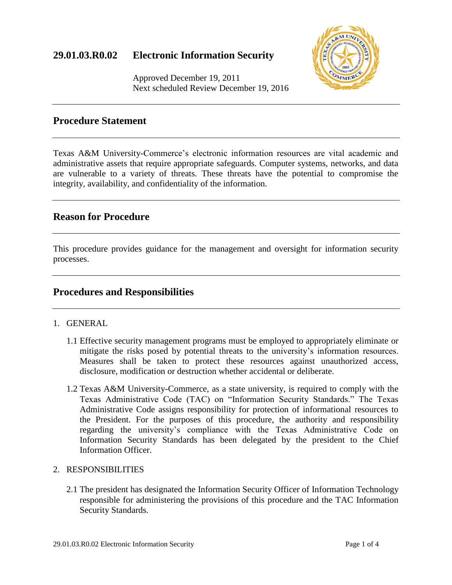

Approved December 19, 2011 Next scheduled Review December 19, 2016

### **Procedure Statement**

Texas A&M University-Commerce's electronic information resources are vital academic and administrative assets that require appropriate safeguards. Computer systems, networks, and data are vulnerable to a variety of threats. These threats have the potential to compromise the integrity, availability, and confidentiality of the information.

# **Reason for Procedure**

This procedure provides guidance for the management and oversight for information security processes.

### **Procedures and Responsibilities**

- 1. GENERAL
	- 1.1 Effective security management programs must be employed to appropriately eliminate or mitigate the risks posed by potential threats to the university's information resources. Measures shall be taken to protect these resources against unauthorized access, disclosure, modification or destruction whether accidental or deliberate.
	- 1.2 Texas A&M University-Commerce, as a state university, is required to comply with the Texas Administrative Code (TAC) on "Information Security Standards." The Texas Administrative Code assigns responsibility for protection of informational resources to the President. For the purposes of this procedure, the authority and responsibility regarding the university's compliance with the Texas Administrative Code on Information Security Standards has been delegated by the president to the Chief Information Officer.

#### 2. RESPONSIBILITIES

2.1 The president has designated the Information Security Officer of Information Technology responsible for administering the provisions of this procedure and the TAC Information Security Standards.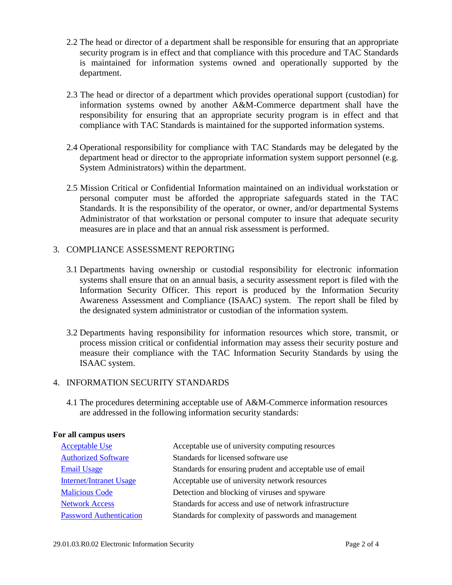- 2.2 The head or director of a department shall be responsible for ensuring that an appropriate security program is in effect and that compliance with this procedure and TAC Standards is maintained for information systems owned and operationally supported by the department.
- 2.3 The head or director of a department which provides operational support (custodian) for information systems owned by another A&M-Commerce department shall have the responsibility for ensuring that an appropriate security program is in effect and that compliance with TAC Standards is maintained for the supported information systems.
- 2.4 Operational responsibility for compliance with TAC Standards may be delegated by the department head or director to the appropriate information system support personnel (e.g. System Administrators) within the department.
- 2.5 Mission Critical or Confidential Information maintained on an individual workstation or personal computer must be afforded the appropriate safeguards stated in the TAC Standards. It is the responsibility of the operator, or owner, and/or departmental Systems Administrator of that workstation or personal computer to insure that adequate security measures are in place and that an annual risk assessment is performed.

### 3. COMPLIANCE ASSESSMENT REPORTING

- 3.1 Departments having ownership or custodial responsibility for electronic information systems shall ensure that on an annual basis, a security assessment report is filed with the Information Security Officer. This report is produced by the Information Security Awareness Assessment and Compliance (ISAAC) system. The report shall be filed by the designated system administrator or custodian of the information system.
- 3.2 Departments having responsibility for information resources which store, transmit, or process mission critical or confidential information may assess their security posture and measure their compliance with the TAC Information Security Standards by using the ISAAC system.

#### 4. INFORMATION SECURITY STANDARDS

4.1 The procedures determining acceptable use of A&M-Commerce information resources are addressed in the following information security standards:

#### **For all campus users**

| <b>Acceptable Use</b>          | Acceptable use of university computing resources           |
|--------------------------------|------------------------------------------------------------|
| <b>Authorized Software</b>     | Standards for licensed software use                        |
| <b>Email Usage</b>             | Standards for ensuring prudent and acceptable use of email |
| <b>Internet/Intranet Usage</b> | Acceptable use of university network resources             |
| <b>Malicious Code</b>          | Detection and blocking of viruses and spyware              |
| <b>Network Access</b>          | Standards for access and use of network infrastructure     |
| <b>Password Authentication</b> | Standards for complexity of passwords and management       |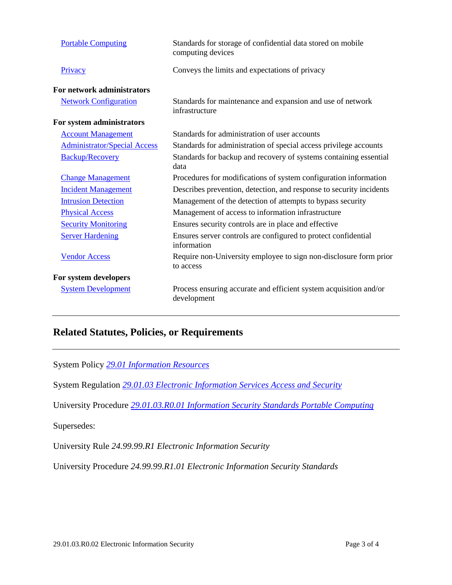| <b>Portable Computing</b>           | Standards for storage of confidential data stored on mobile<br>computing devices |
|-------------------------------------|----------------------------------------------------------------------------------|
| Privacy                             | Conveys the limits and expectations of privacy                                   |
| For network administrators          |                                                                                  |
| <b>Network Configuration</b>        | Standards for maintenance and expansion and use of network<br>infrastructure     |
| For system administrators           |                                                                                  |
| <b>Account Management</b>           | Standards for administration of user accounts                                    |
| <b>Administrator/Special Access</b> | Standards for administration of special access privilege accounts                |
| <b>Backup/Recovery</b>              | Standards for backup and recovery of systems containing essential<br>data        |
| <b>Change Management</b>            | Procedures for modifications of system configuration information                 |
| <b>Incident Management</b>          | Describes prevention, detection, and response to security incidents              |
| <b>Intrusion Detection</b>          | Management of the detection of attempts to bypass security                       |
| <b>Physical Access</b>              | Management of access to information infrastructure                               |
| <b>Security Monitoring</b>          | Ensures security controls are in place and effective                             |
| <b>Server Hardening</b>             | Ensures server controls are configured to protect confidential<br>information    |
| <b>Vendor Access</b>                | Require non-University employee to sign non-disclosure form prior<br>to access   |
| For system developers               |                                                                                  |
| <b>System Development</b>           | Process ensuring accurate and efficient system acquisition and/or<br>development |

# **Related Statutes, Policies, or Requirements**

System Policy *[29.01 Information Resources](http://policies.tamus.edu/29-01.pdf)*

System Regulation *[29.01.03 Electronic Information](http://policies.tamus.edu/29-01-03.pdf) Services Access and Security*

University Procedure *[29.01.03.R0.01 Information Security Standards Portable Computing](http://www.tamuc.edu/aboutUs/policiesProceduresStandardsStatements/rulesProcedures/29InformationResources/29.01.03.R0.01InformationSecurityStandardsPortableComputing.pdf)*

Supersedes:

University Rule *24.99.99.R1 Electronic Information Security* 

University Procedure *24.99.99.R1.01 Electronic Information Security Standards*